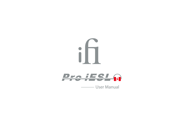



**Wanual** User Manual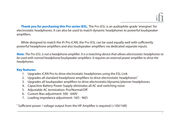**Thank you for purchasing this Pro series iESL.** The Pro iESL is an audiophile-grade 'energiser' for electrostatic headphones. It can also be used to match dynamic headphones to powerful loudspeaker amplifiers.

While designed to match the iFi Pro iCAN, the Pro iESL can be used equally well with sufficiently powerful headphone amplifiers and also loudspeaker amplifiers via dedicated separate inputs.

**Note:** The Pro iESL is not a headphone amplifier. It is a matching device that allows electrostatic headphones to be used with normal headphone/loudspeaker amplifiers. It requires an external power amplifier to drive the headphones.

### **Key features:**

- 1. Upgrades iCAN Pro to drive electrostatic headphones using the ESL-Link
- 2. Upgrades all standard headphone amplifiers to drive electrostatic headphones<sup>\*</sup>
- 3. Upgrades all loudspeaker amplifiers to drive electrostatic/dynamic/planner headphones
- 4. Capacitive Battery Power Supply eliminates all AC and switching noise
- 5. Adjustable AC termination: Pro/Normal/Off
- 6. Custom Bias adjustment: 500 640V
- 7. Loading impedance adjustment: 16Ω 96Ω

 $^\ast$  Sufficient power / voltage output from the HP Amplifier is required (>10V/16R)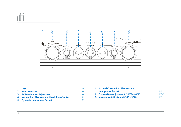# i



| <b>1. LED</b> |                                               | <b>P.4</b> | <b>6. Pro and Custom Bias Electrostatic</b> |
|---------------|-----------------------------------------------|------------|---------------------------------------------|
|               | 2. Input Selector                             | <b>P.4</b> | <b>Headphone Socket</b>                     |
|               | <b>3. AC Termination Adiustment</b>           | <b>P.4</b> | 7. Custom Bias Adjustment (500V - 6         |
|               | 4. Normal Bias Electrostatic Headphone Socket | <b>P.5</b> | 8. Impedance Adjustment (16 $\Omega$ - 960  |
|               | 5. Dynamic Headphone Socket                   | P.5        |                                             |

| <b>6. Pro and Custom Bias Electrostatic</b>          |            |
|------------------------------------------------------|------------|
| <b>Headphone Socket</b>                              | P5         |
| 7. Custom Bias Adjustment (500V - 640V)              | $P.5 - 6$  |
| 8. Impedance Adjustment (16 $\Omega$ - 96 $\Omega$ ) | <b>P.6</b> |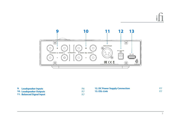

| 9. Loudspeaker Inputs<br><b>10. Loudspeaker Outputs</b><br>11. Balanced Signal Input | P.6 | <b>12. DC Power Supply Connection</b><br>13. ESL-Link |  |
|--------------------------------------------------------------------------------------|-----|-------------------------------------------------------|--|
|--------------------------------------------------------------------------------------|-----|-------------------------------------------------------|--|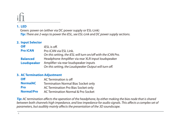### **1. LED**

 Green: power on (either via DC power supply or ESL-Link) **Tip:** There are 2-ways to power the iESL, see ESL-Link and DC power supply sections.

### **2. Input Selector**

| <b>Off</b>         | iESL is off.                                                  |
|--------------------|---------------------------------------------------------------|
| <b>Pro iCAN</b>    | Pro iCAN via ESL Link.                                        |
|                    | On this setting, the iESL will turn on/off with the iCAN Pro. |
| <b>Balanced</b>    | Headphone Amplifier via rear XLR input loudspeaker            |
| <b>Loudspeaker</b> | Amplifier via rear loudspeaker inputs                         |
|                    | On this setting, the Loudspeaker Output will turn off.        |

### **3. AC Termination Adjustment**

| <b>Off</b>        | AC Termination is off                      |
|-------------------|--------------------------------------------|
| <b>NormalAC</b>   | <b>Termination Normal Bias Socket only</b> |
| <b>Pro</b>        | AC Termination Pro Bias Socket only        |
| <b>Normal/Pro</b> | AC Termination Normal & Pro Socket         |

**Tip:** AC termination affects the operation of the headphone, by either making the bias node that is shared between both channels high impedance, and low impedance for audio signals. This affects a complex set of parameters, but audibly mainly affects the presentation of the 3D soundscape.

4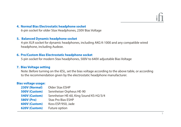### **4. Normal Bias Electrostatic headphone socket**

6-pin socket for older Stax Headphones, 230V Bias Voltage

### **5. Balanced Dynamic headphone socket**

 4-pin XLR socket for dynamic headphones, including AKG K-1000 and any compatible wired headphone, including Audeze.

### **6. Pro/Custom Bias Electrostatic headphone socket**

5-pin socket for modern Stax headphones, 500V to 640V adjustable Bias Voltage

### **7. Bias Voltage setting**

 Note: Before turning on the iESL, set the bias voltage according to the above table, or according to the recommendation given by the electrostatic headphone manufacturer.

### **Bias voltage usage:**

| 230V (Normal)     | Older Stax ESHP                        |
|-------------------|----------------------------------------|
| 500V (Custom)     | Sennheiser Orpheus HE-90               |
| 540V (Custom)     | Sennheiser HE-60, King Sound KS-H2/3/4 |
| <b>580V (Pro)</b> | <b>Stax Pro Bias ESHP</b>              |
| 600V (Custom)     | Koss ESP/950, Jade                     |
| 620V (Custom)     | Future option                          |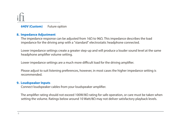**640V (Custom)** Future option

### **8. Impedance Adjustment**

The impedance response can be adjusted from 16Ω to 96Ω. This impedance describes the load impedance for the driving amp with a "standard" electrostatic headphone connected.

 Lower impedance settings create a greater step-up and will produce a louder sound level at the same headphone amplifier volume setting.

Lower impedance settings are a much more difficult load for the driving amplifier.

 Please adjust to suit listening preferences, however, in most cases the higher impedance setting is recommended.

### **9. Loudspeaker Inputs**

Connect loudspeaker cables from your loudspeaker amplifier.

The amplifier rating should not exceed 100W/8 $\Omega$  rating for safe operation, or care must be taken when setting the volume. Ratings below around 10 Watt/8Ω may not deliver satisfactory playback levels.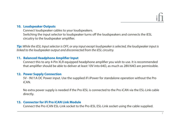### **10. Loudspeaker Outputs**

 Connect loudspeaker cables to your loudspeakers. Switching the input selector to loudspeaker turns off the loudspeakers and connects the iESL circuitry to the loudspeaker amplifier.

**Tip:** While the iESL Input selector is OFF, or any input except loudspeaker is selected, the loudspeaker input is linked to the loudspeaker output and disconnected from the iESL circuitry.

### **11. Balanced Headphone Amplifier Input**

Connect this to any 4-Pin XLR equipped headphone amplifier you wish to use. It is recommended that amplifier should be able to deliver at least 10V into 64 $Ω$ , as much as 28V/64 $Ω$  are permissible.

### **12. Power Supply Connection**

 5V - 9V/1A DC Power input. Use the supplied iFi iPower for standalone operation without the Pro iCAN.

 No extra power supply is needed if the Pro iESL is connected to the Pro iCAN via the ESL-Link cable directly.

### **13. Connector for iFi Pro iCAN Link Module**

Connect the Pro iCAN ESL-Link socket to the Pro iESL ESL-Link socket using the cable supplied.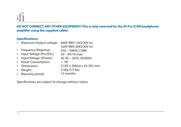## **DO NOT CONNECT ANY OTHER EQUIPMENT! This is only reserved for the iFi Pro iCAN headphone**  amplifier using the supplied cable!

### **Specifications:**

- Maximum Output voltage: 640V RMS (16Ω/20V in)
- 320V RMS (64Ω/20V in)
- Frequency Response: 5Hz – 50kHz (-3dB)
- Input Voltage (Pro iESL): 5V – 9V/1A max
- Input Voltage (iPower): AC 85 – 265V, 50/60Hz
- Power Consumption:  $< 1W$
- Dimensions:
- Weight:
- Warranty period:
- 213(l) x 206(w) x 63.3(h) mm 2.5kg (5.5 lbs) 12 months
- Specifications are subject to change without notice.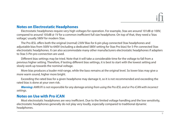# **Notes on Electrostatic Headphones**

Electrostatic headphones require very high voltages for operation. For example, Stax are around 101dB  $\omega$  100V, compared to around 105dB @ 1V for a common inefficient full size headphone. On top of that, they need a 'bias voltage,' usually 580V for modern Stax.

The Pro iESL offers both the original (normal) 230V Bias for 6-pin plug connected Stax headphones and adjustable bias from 500V to 640V (including a dedicated 580V setting for Stax Pro bias) for 5-Pin connected Stax electrostatic headphones. It can also accommodate many other manufacturers electrostatic headphones if adapters to Stax 5-Pin pro connection are used.

Different bias settings may be tried. Note that it will take a considerable time for the voltage to fall from a previous higher setting. Therefore, if testing different bias settings, it is best to start with the lowest setting and slowly work up towards the nominal voltage.

More bias produces a louder mid-range, while the bass remains at the original level. So lower bias may give a more warm sound, higher more bright.

Exceeding the rated bias for a given headphone may damage it, so it is not recommended and exceeding the rated bias is done at your own risk.

**Warning:** AMR/iFi is not responsible for any damage arising from using the Pro iESL and or Pro iCAN with incorrect settings.

# **Notes on Use with Pro iCAN**

Most electrostatic headphones are very inefficient. Due to the limited voltage handling and the low sensitivity, electrostatic headphones generally do not play very loudly, especially compared to traditional dynamic headphones.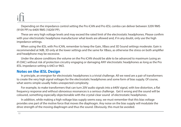Depending on the impedance control setting the Pro iCAN and Pro iESL combo can deliver between 320V RMS (910V PP) to 640V RMS (1820V PP).

These are very high voltage levels and may exceed the rated limit of the electrostatic headphones. Please confirm with your electrostatic headphone manufacturer what levels are allowed and, if in any doubt, only use the high impedance settings.

When using the iESL with Pro iCAN, remember to keep the Gain, XBass and 3D Sound settings moderate. Gain is recommended at 9dB, 3D only at the lower settings and the same for XBass, as otherwise the stress on both amplifier and headphone may be excessive.

Under the above conditions the volume on the Pro iCAN should be able to be advanced to maximum (using an iFi DAC) without risk of protection circuitry engaging or damaging ANY electrostatic headphones as long as the Pro iESL impedance setting is 64 $Ω$  or 96 $Ω$ .

# **Notes on the iESL Design**

In principle, an energiser for electrostatic headphones is a trivial challenge. All we need are a pair of transformers to create the very high signal voltages for the electrostatic headphones and some form of bias supply. Of course, what seems simple usually hides unexpected complexity.

For example, to make transformers that can turn 20V audio signals into a 640V signal, with low distortion, a flat frequency response and without obnoxious resonances is a serious challenge. Get it wrong and the sound will be coloured, something especially objectionable with the crystal-clear sound of electrostatic headphones.

In addition, while making a high voltage bias supply seems easy, we must remember that this bias voltage provides one part of the motive force that moves the diaphragm. Any noise on the bias supply will modulate the drive strength of the moving diaphragm and thus the sound. Obviously, this must be avoided.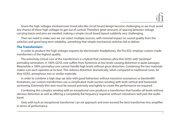Given the high voltages involved even trivial jobs like circuit board design become challenging as we must avoid any chance of these high voltages to get out of control. Therefore great amounts of spacing between voltage carrying traces and pins are needed, making a simple circuit board layout suddenly very challenging.

Then we need to make sure we can select multiple sources, with minimal impact on sound quality from the switches and good long term reliability, something that simple mechanical switches fail to deliver.

### **The Transformers**

In order to produce the high voltages requires by electrostatic headphones, the Pro iESL employs custom-made transformers of the highest quality.

The extremely critical core of the transformers is a hybrid that combines ultra-thin GOSS with "pinstripe" permalloy lamination. A 100% GOSS core suffers from hysteresis at low levels causing distortion in quiet passages. Meanwhile a 100% permalloy core cannot handle high levels without gross distortion. Combining the two materials makes sure each operates at its best. This reduces distortion dramatically, when compared to traditional cores, be they GOSS, amorphous iron or similar materials.

In order to combine a high step-up ratio with good behaviour without excessive resonances or bandwidth limitations, our custom transformers use a complicated multi-section winding with both vertical and horizontal sectioning. Extremely thin wire must be wound precisely and tightly to create the performance we required.

Combining this complex winding with an exceptional core produces a transformer that handles all levels without obvious distortion as well as offering a completely flat frequency response without colorations well past the audio band.

Only with such an exceptional transformer can we approach and even exceed the best transformer-less amplier in terms of performance.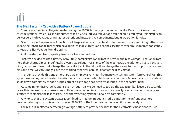### **The Bias System - Capacitive Battery Power Supply**

Commonly the bias voltage is created using the 50/60Hz mains power and a so-called Villard or Greinacher cascade rectifier (which is also sometimes called a Cockcroft-Walton voltage multiplier) is employed. This circuit can deliver very high voltages using rather generic and inexpensive components, but its operation is noisy.

Given the low frequencies of the AC used, large value capacitors tend to be needed, usually requiring rather nonlinear electrolytic capacitors, which have high leakage currents and so the cascade rectifier must operate constantly to keep the Bias Voltage from dropping.

At iFi we decided to completely toss out all existing solutions.

First, we decided to use a battery of multiple parallel film capacitors to provide the bias voltage. Film Capacitors hold their charge almost indefinitely. Given that isolation resistance of the electrostatic headphone is also very, very high, no current flows to discharge the capacitor bank. Therefore, if we charge the capacitor bank up to the nominal bias one time, we can simply leave the charged capacitor bank to "float" at the Bias Voltage.

In order to provide this one time charge we employ a very high frequency switching system (appx. 750kHz). This system uses a tiny, fully shielded transformer and exotic ultra-fast high voltage rectifiers. More crucially, this system shuts down completely as soon as the correct bias voltage has been established in the capacitor bank.

As some minor discharge happens even through air, we do need to top up the capacitor bank every 30 seconds or so. This process usually takes a few millionth of a second (microseconds) as usually one or two switching cycles suffices to replenish the lost charge. Then the switching system is again off completely.

Any noise that this system creates is confined to medium frequency radio bands for the infrequent short durations during which it is active. For over 99.999% of the time the charging circuit is completely off.

The result is in effect a perfect high voltage battery to provide the bias for the electrostatic headphones. Two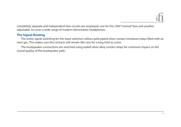completely separate and independent bias circuits are employed, one for the 230V "normal" bias and another adjustable, to cover a wide range of modern electrostatic headphones.

### **The Signal Routing**

The entire signal switching for the input selection utilises gold-plated silver contact miniature relays filled with an inert gas. This makes sure the contacts will remain like new for a long time to come.

The loudspeaker connections are switched using sealed silver alloy contact relays for minimum impact on the sound quality of the loudspeaker path.